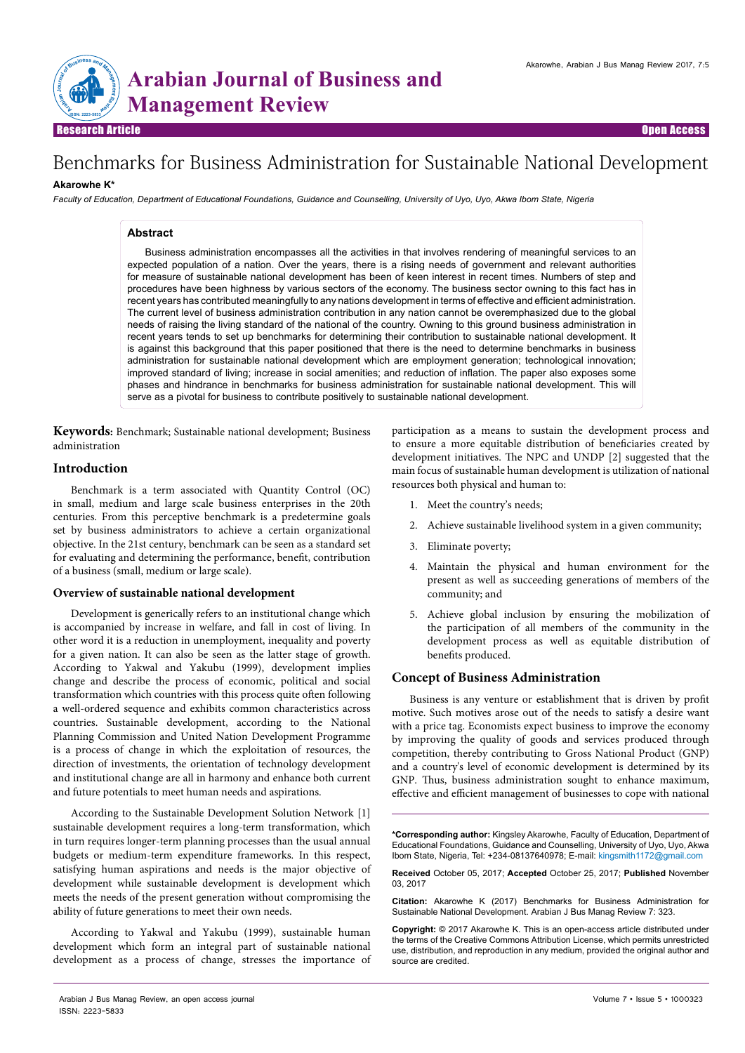

# Benchmarks for Business Administration for Sustainable National Development

## **Akarowhe K\***

*Faculty of Education, Department of Educational Foundations, Guidance and Counselling, University of Uyo, Uyo, Akwa Ibom State, Nigeria*

## **Abstract**

Business administration encompasses all the activities in that involves rendering of meaningful services to an expected population of a nation. Over the years, there is a rising needs of government and relevant authorities for measure of sustainable national development has been of keen interest in recent times. Numbers of step and procedures have been highness by various sectors of the economy. The business sector owning to this fact has in recent years has contributed meaningfully to any nations development in terms of effective and efficient administration. The current level of business administration contribution in any nation cannot be overemphasized due to the global needs of raising the living standard of the national of the country. Owning to this ground business administration in recent years tends to set up benchmarks for determining their contribution to sustainable national development. It is against this background that this paper positioned that there is the need to determine benchmarks in business administration for sustainable national development which are employment generation; technological innovation; improved standard of living; increase in social amenities; and reduction of inflation. The paper also exposes some phases and hindrance in benchmarks for business administration for sustainable national development. This will serve as a pivotal for business to contribute positively to sustainable national development.

**Keywords:** Benchmark; Sustainable national development; Business administration

# **Introduction**

Benchmark is a term associated with Quantity Control (OC) in small, medium and large scale business enterprises in the 20th centuries. From this perceptive benchmark is a predetermine goals set by business administrators to achieve a certain organizational objective. In the 21st century, benchmark can be seen as a standard set for evaluating and determining the performance, benefit, contribution of a business (small, medium or large scale).

### **Overview of sustainable national development**

Development is generically refers to an institutional change which is accompanied by increase in welfare, and fall in cost of living. In other word it is a reduction in unemployment, inequality and poverty for a given nation. It can also be seen as the latter stage of growth. According to Yakwal and Yakubu (1999), development implies change and describe the process of economic, political and social transformation which countries with this process quite often following a well-ordered sequence and exhibits common characteristics across countries. Sustainable development, according to the National Planning Commission and United Nation Development Programme is a process of change in which the exploitation of resources, the direction of investments, the orientation of technology development and institutional change are all in harmony and enhance both current and future potentials to meet human needs and aspirations.

According to the Sustainable Development Solution Network [1] sustainable development requires a long-term transformation, which in turn requires longer-term planning processes than the usual annual budgets or medium-term expenditure frameworks. In this respect, satisfying human aspirations and needs is the major objective of development while sustainable development is development which meets the needs of the present generation without compromising the ability of future generations to meet their own needs.

According to Yakwal and Yakubu (1999), sustainable human development which form an integral part of sustainable national development as a process of change, stresses the importance of participation as a means to sustain the development process and to ensure a more equitable distribution of beneficiaries created by development initiatives. The NPC and UNDP [2] suggested that the main focus of sustainable human development is utilization of national resources both physical and human to:

- 1. Meet the country's needs;
- 2. Achieve sustainable livelihood system in a given community;
- 3. Eliminate poverty;
- 4. Maintain the physical and human environment for the present as well as succeeding generations of members of the community; and
- 5. Achieve global inclusion by ensuring the mobilization of the participation of all members of the community in the development process as well as equitable distribution of benefits produced.

# **Concept of Business Administration**

Business is any venture or establishment that is driven by profit motive. Such motives arose out of the needs to satisfy a desire want with a price tag. Economists expect business to improve the economy by improving the quality of goods and services produced through competition, thereby contributing to Gross National Product (GNP) and a country's level of economic development is determined by its GNP. Thus, business administration sought to enhance maximum, effective and efficient management of businesses to cope with national

**\*Corresponding author:** Kingsley Akarowhe, Faculty of Education, Department of Educational Foundations, Guidance and Counselling, University of Uyo, Uyo, Akwa Ibom State, Nigeria, Tel: +234-08137640978; E-mail: kingsmith1172@gmail.com

**Received** October 05, 2017; **Accepted** October 25, 2017; **Published** November 03, 2017

**Citation:** Akarowhe K (2017) Benchmarks for Business Administration for Sustainable National Development. Arabian J Bus Manag Review 7: 323.

**Copyright:** © 2017 Akarowhe K. This is an open-access article distributed under the terms of the Creative Commons Attribution License, which permits unrestricted use, distribution, and reproduction in any medium, provided the original author and source are credited.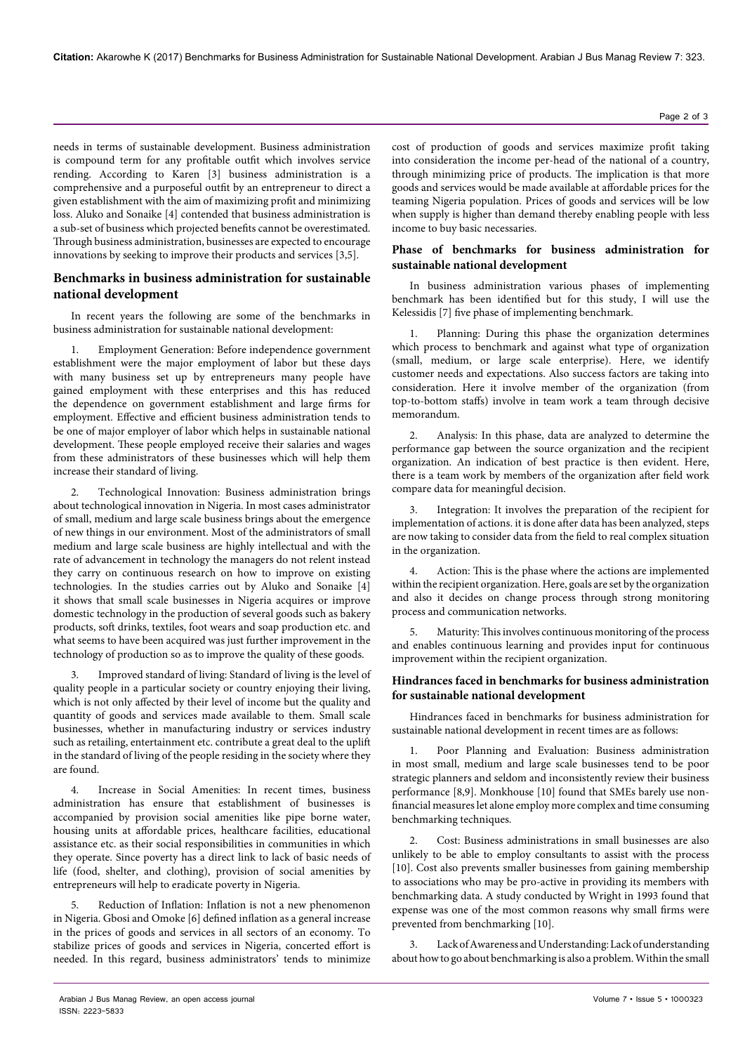needs in terms of sustainable development. Business administration is compound term for any profitable outfit which involves service rending. According to Karen [3] business administration is a comprehensive and a purposeful outfit by an entrepreneur to direct a given establishment with the aim of maximizing profit and minimizing loss. Aluko and Sonaike [4] contended that business administration is a sub-set of business which projected benefits cannot be overestimated. Through business administration, businesses are expected to encourage innovations by seeking to improve their products and services [3,5].

# **Benchmarks in business administration for sustainable national development**

In recent years the following are some of the benchmarks in business administration for sustainable national development:

Employment Generation: Before independence government establishment were the major employment of labor but these days with many business set up by entrepreneurs many people have gained employment with these enterprises and this has reduced the dependence on government establishment and large firms for employment. Effective and efficient business administration tends to be one of major employer of labor which helps in sustainable national development. These people employed receive their salaries and wages from these administrators of these businesses which will help them increase their standard of living.

2. Technological Innovation: Business administration brings about technological innovation in Nigeria. In most cases administrator of small, medium and large scale business brings about the emergence of new things in our environment. Most of the administrators of small medium and large scale business are highly intellectual and with the rate of advancement in technology the managers do not relent instead they carry on continuous research on how to improve on existing technologies. In the studies carries out by Aluko and Sonaike [4] it shows that small scale businesses in Nigeria acquires or improve domestic technology in the production of several goods such as bakery products, soft drinks, textiles, foot wears and soap production etc. and what seems to have been acquired was just further improvement in the technology of production so as to improve the quality of these goods.

3. Improved standard of living: Standard of living is the level of quality people in a particular society or country enjoying their living, which is not only affected by their level of income but the quality and quantity of goods and services made available to them. Small scale businesses, whether in manufacturing industry or services industry such as retailing, entertainment etc. contribute a great deal to the uplift in the standard of living of the people residing in the society where they are found.

4. Increase in Social Amenities: In recent times, business administration has ensure that establishment of businesses is accompanied by provision social amenities like pipe borne water, housing units at affordable prices, healthcare facilities, educational assistance etc. as their social responsibilities in communities in which they operate. Since poverty has a direct link to lack of basic needs of life (food, shelter, and clothing), provision of social amenities by entrepreneurs will help to eradicate poverty in Nigeria.

Reduction of Inflation: Inflation is not a new phenomenon in Nigeria. Gbosi and Omoke [6] defined inflation as a general increase in the prices of goods and services in all sectors of an economy. To stabilize prices of goods and services in Nigeria, concerted effort is needed. In this regard, business administrators' tends to minimize cost of production of goods and services maximize profit taking into consideration the income per-head of the national of a country, through minimizing price of products. The implication is that more goods and services would be made available at affordable prices for the teaming Nigeria population. Prices of goods and services will be low when supply is higher than demand thereby enabling people with less income to buy basic necessaries.

# **Phase of benchmarks for business administration for sustainable national development**

In business administration various phases of implementing benchmark has been identified but for this study, I will use the Kelessidis [7] five phase of implementing benchmark.

Planning: During this phase the organization determines which process to benchmark and against what type of organization (small, medium, or large scale enterprise). Here, we identify customer needs and expectations. Also success factors are taking into consideration. Here it involve member of the organization (from top-to-bottom staffs) involve in team work a team through decisive memorandum.

2. Analysis: In this phase, data are analyzed to determine the performance gap between the source organization and the recipient organization. An indication of best practice is then evident. Here, there is a team work by members of the organization after field work compare data for meaningful decision.

3. Integration: It involves the preparation of the recipient for implementation of actions. it is done after data has been analyzed, steps are now taking to consider data from the field to real complex situation in the organization.

4. Action: This is the phase where the actions are implemented within the recipient organization. Here, goals are set by the organization and also it decides on change process through strong monitoring process and communication networks.

5. Maturity: This involves continuous monitoring of the process and enables continuous learning and provides input for continuous improvement within the recipient organization.

# **Hindrances faced in benchmarks for business administration for sustainable national development**

Hindrances faced in benchmarks for business administration for sustainable national development in recent times are as follows:

1. Poor Planning and Evaluation: Business administration in most small, medium and large scale businesses tend to be poor strategic planners and seldom and inconsistently review their business performance [8,9]. Monkhouse [10] found that SMEs barely use nonfinancial measures let alone employ more complex and time consuming benchmarking techniques.

2. Cost: Business administrations in small businesses are also unlikely to be able to employ consultants to assist with the process [10]. Cost also prevents smaller businesses from gaining membership to associations who may be pro-active in providing its members with benchmarking data. A study conducted by Wright in 1993 found that expense was one of the most common reasons why small firms were prevented from benchmarking [10].

3. Lack of Awareness and Understanding: Lack of understanding about how to go about benchmarking is also a problem. Within the small

ISSN: 2223-5833